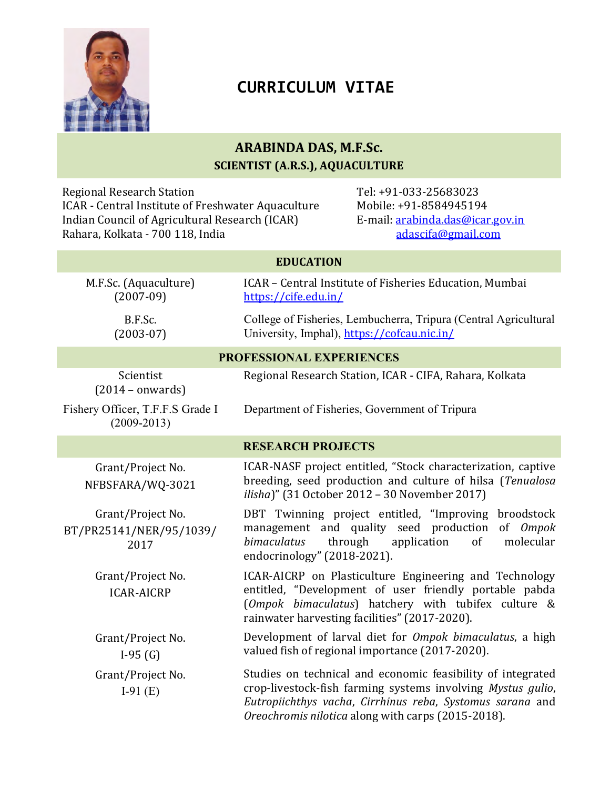

# CURRICULUM VITAE

## ARABINDA DAS, M.F.Sc. SCIENTIST (A.R.S.), AQUACULTURE

Regional Research Station ICAR - Central Institute of Freshwater Aquaculture Indian Council of Agricultural Research (ICAR) Rahara, Kolkata - 700 118, India

Tel: +91-033-25683023 Mobile: +91-8584945194 E-mail: arabinda.das@icar.gov.in adascifa@gmail.com

| <b>EDUCATION</b>                                     |                                                                                                                                                                                                                                               |
|------------------------------------------------------|-----------------------------------------------------------------------------------------------------------------------------------------------------------------------------------------------------------------------------------------------|
| M.F.Sc. (Aquaculture)<br>$(2007-09)$                 | ICAR - Central Institute of Fisheries Education, Mumbai<br>https://cife.edu.in/                                                                                                                                                               |
| B.F.Sc.<br>$(2003-07)$                               | College of Fisheries, Lembucherra, Tripura (Central Agricultural<br>University, Imphal), https://cofcau.nic.in/                                                                                                                               |
| PROFESSIONAL EXPERIENCES                             |                                                                                                                                                                                                                                               |
| Scientist<br>$(2014 - onwards)$                      | Regional Research Station, ICAR - CIFA, Rahara, Kolkata                                                                                                                                                                                       |
| Fishery Officer, T.F.F.S Grade I<br>$(2009 - 2013)$  | Department of Fisheries, Government of Tripura                                                                                                                                                                                                |
| <b>RESEARCH PROJECTS</b>                             |                                                                                                                                                                                                                                               |
| Grant/Project No.<br>NFBSFARA/WQ-3021                | ICAR-NASF project entitled, "Stock characterization, captive<br>breeding, seed production and culture of hilsa (Tenualosa<br>ilisha)" (31 October 2012 - 30 November 2017)                                                                    |
| Grant/Project No.<br>BT/PR25141/NER/95/1039/<br>2017 | DBT Twinning project entitled, "Improving<br>broodstock<br>management and quality seed production<br>of Ompok<br>bimaculatus<br>molecular<br>through<br>application<br>of<br>endocrinology" (2018-2021).                                      |
| Grant/Project No.<br><b>ICAR-AICRP</b>               | ICAR-AICRP on Plasticulture Engineering and Technology<br>entitled, "Development of user friendly portable pabda<br>(Ompok bimaculatus) hatchery with tubifex culture &<br>rainwater harvesting facilities" (2017-2020).                      |
| Grant/Project No.<br>$I-95(G)$                       | Development of larval diet for Ompok bimaculatus, a high<br>valued fish of regional importance (2017-2020).                                                                                                                                   |
| Grant/Project No.<br>I-91 $(E)$                      | Studies on technical and economic feasibility of integrated<br>crop-livestock-fish farming systems involving Mystus gulio,<br>Eutropiichthys vacha, Cirrhinus reba, Systomus sarana and<br>Oreochromis nilotica along with carps (2015-2018). |